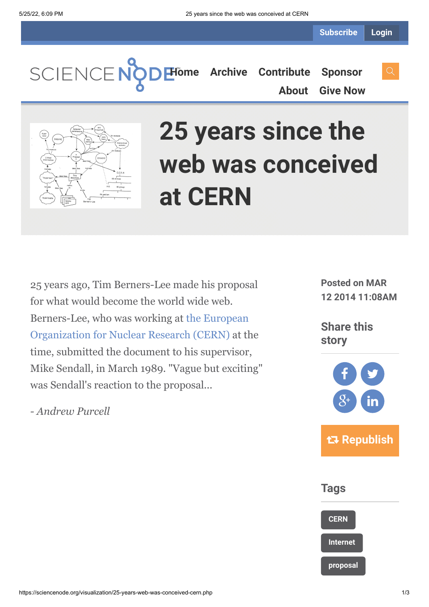**Subscribe Login**

SCIENCENO

**[Home](https://sciencenode.org/) [Archive](https://sciencenode.org/archive/index.php) [Contribute](https://sciencenode.org/contribute/index.php) [Sponsor](https://sciencenode.org/sponsor/index.php) [About](https://sciencenode.org/about/index.php) [Give Now](https://sciencenode.org/donate/index.php)**



# **25 years since the web was conceived at CERN**

25 years ago, Tim Berners-Lee made his proposal for what would become the world wide web. [Berners-Lee, who was working at the European](http://home.web.cern.ch/) Organization for Nuclear Research (CERN) at the time, submitted the document to his supervisor, Mike Sendall, in March 1989. "Vague but exciting" was Sendall's reaction to the proposal...

*- Andrew Purcell*

**Posted on MAR 12 2014 11:08AM**

**Share this story**



**Tags**

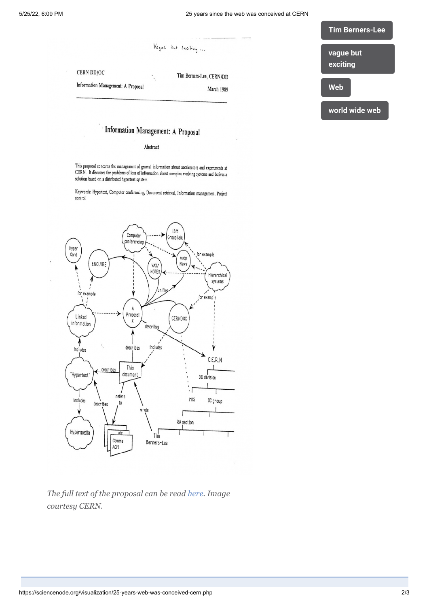**CERN DD/OC** 

Information Management: A Proposal

## **[Tim Berners-Lee](https://sciencenode.org/tag/?tag=Tim%20Berners-Lee) [vague but](https://sciencenode.org/tag/?tag=vague%20but%20exciting) exciting**

**[Web](https://sciencenode.org/tag/?tag=Web)**

**[world wide web](https://sciencenode.org/tag/?tag=world%20wide%20web)**

### Information Management: A Proposal

Vague but exciting ...

Tim Berners-Lee, CERN/DD

March 1989

#### Abstract

This proposal concerns the management of general information about accelerators and experiments at CERN. It discusses the problems of loss of information about accelerators and experiments at CERN. It discusses the problems of loss of information about complex evolving systems and derives a solution based on a distributed hypertext sytstem.

Keywords: Hypertext, Computer conferencing, Document retrieval, Information management, Project control



*The full text of the proposal can be read [here](http://www.w3.org/History/1989/proposal.html). Image courtesy CERN.*